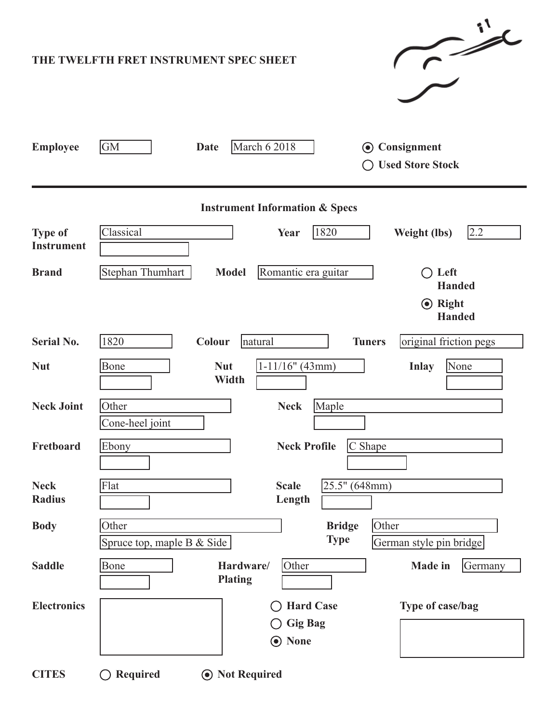| $\sim$<br>THE TWELFTH FRET INSTRUMENT SPEC SHEET |                                                                                                         |  |  |  |  |  |  |
|--------------------------------------------------|---------------------------------------------------------------------------------------------------------|--|--|--|--|--|--|
| <b>Employee</b>                                  | GM<br><b>March 6 2018</b><br>Consignment<br><b>Date</b><br>$\odot$<br><b>Used Store Stock</b>           |  |  |  |  |  |  |
| <b>Instrument Information &amp; Specs</b>        |                                                                                                         |  |  |  |  |  |  |
| <b>Type of</b><br><b>Instrument</b>              | Classical<br>1820<br>2.2<br><b>Weight (lbs)</b><br>Year                                                 |  |  |  |  |  |  |
| <b>Brand</b>                                     | Stephan Thumhart<br>Romantic era guitar<br>$\bigcirc$ Left<br><b>Model</b><br><b>Handed</b>             |  |  |  |  |  |  |
|                                                  | <b>⊙</b> Right<br><b>Handed</b>                                                                         |  |  |  |  |  |  |
| <b>Serial No.</b>                                | 1820<br>original friction pegs<br>Colour<br><b>Tuners</b><br>natural                                    |  |  |  |  |  |  |
| <b>Nut</b>                                       | $1-11/16"$ (43mm)<br><b>Nut</b><br><b>Inlay</b><br>None<br>Bone<br>Width                                |  |  |  |  |  |  |
| <b>Neck Joint</b>                                | Maple<br>Other<br><b>Neck</b><br>Cone-heel joint                                                        |  |  |  |  |  |  |
| Fretboard                                        | Ebony<br>$C$ Shape<br><b>Neck Profile</b>                                                               |  |  |  |  |  |  |
| <b>Neck</b><br><b>Radius</b>                     | 25.5" (648mm)<br>Flat<br><b>Scale</b><br>Length                                                         |  |  |  |  |  |  |
| <b>Body</b>                                      | Other<br>Other<br><b>Bridge</b><br><b>Type</b><br>Spruce top, maple B & Side<br>German style pin bridge |  |  |  |  |  |  |
| <b>Saddle</b>                                    | Bone<br>Other<br>Germany<br>Hardware/<br><b>Made in</b><br><b>Plating</b>                               |  |  |  |  |  |  |
| <b>Electronics</b>                               | <b>Hard Case</b><br>Type of case/bag<br><b>Gig Bag</b><br><b>None</b><br>$\bigcirc$                     |  |  |  |  |  |  |
| <b>CITES</b>                                     | <b>⊙</b> Not Required<br><b>Required</b>                                                                |  |  |  |  |  |  |